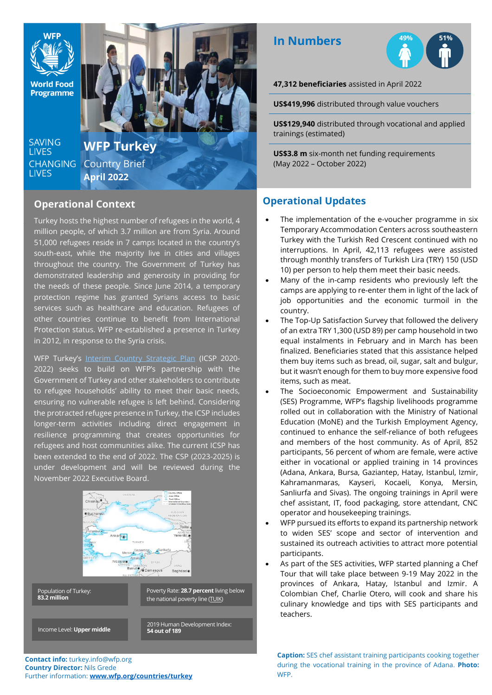

#### **Operational Context**

;

Turkey hosts the highest number of refugees in the world, 4 million people, of which 3.7 million are from Syria. Around 51,000 refugees reside in 7 camps located in the country's south-east, while the majority live in cities and villages throughout the country. The Government of Turkey has demonstrated leadership and generosity in providing for the needs of these people. Since June 2014, a temporary protection regime has granted Syrians access to basic services such as healthcare and education. Refugees of other countries continue to benefit from International Protection status. WFP re-established a presence in Turkey in 2012, in response to the Syria crisis.

WFP Turkey's [Interim Country Strategic Plan](https://docs.wfp.org/api/documents/WFP-0000108573/download/) (ICSP 2020-2022) seeks to build on WFP's partnership with the Government of Turkey and other stakeholders to contribute to refugee households' ability to meet their basic needs, ensuring no vulnerable refugee is left behind. Considering the protracted refugee presence in Turkey, the ICSP includes longer-term activities including direct engagement in resilience programming that creates opportunities for refugees and host communities alike. The current ICSP has been extended to the end of 2022. The CSP (2023-2025) is under development and will be reviewed during the November 2022 Executive Board.



**Contact info:** turkey.info@wfp.org **Country Director:** Nils Grede Further information: **[www.wfp.org/countries/turkey](http://www.wfp.org/countries/turkey)**

# **In Numbers**



**47,312 beneficiaries** assisted in April 2022

**US\$419,996** distributed through value vouchers

**US\$129,940** distributed through vocational and applied trainings (estimated)

**US\$3.8 m** six-month net funding requirements (May 2022 – October 2022)

## **Operational Updates**

- The implementation of the e-voucher programme in six Temporary Accommodation Centers across southeastern Turkey with the Turkish Red Crescent continued with no interruptions. In April, 42,113 refugees were assisted through monthly transfers of Turkish Lira (TRY) 150 (USD 10) per person to help them meet their basic needs.
- Many of the in-camp residents who previously left the camps are applying to re-enter them in light of the lack of job opportunities and the economic turmoil in the country.
- The Top-Up Satisfaction Survey that followed the delivery of an extra TRY 1,300 (USD 89) per camp household in two equal instalments in February and in March has been finalized. Beneficiaries stated that this assistance helped them buy items such as bread, oil, sugar, salt and bulgur, but it wasn't enough for them to buy more expensive food items, such as meat.
- The Socioeconomic Empowerment and Sustainability (SES) Programme, WFP's flagship livelihoods programme rolled out in collaboration with the Ministry of National Education (MoNE) and the Turkish Employment Agency, continued to enhance the self-reliance of both refugees and members of the host community. As of April, 852 participants, 56 percent of whom are female, were active either in vocational or applied training in 14 provinces (Adana, Ankara, Bursa, Gaziantep, Hatay, Istanbul, Izmir, Kahramanmaras, Kayseri, Kocaeli, Konya, Mersin, Sanliurfa and Sivas). The ongoing trainings in April were chef assistant, IT, food packaging, store attendant, CNC operator and housekeeping trainings.
- WFP pursued its efforts to expand its partnership network to widen SES' scope and sector of intervention and sustained its outreach activities to attract more potential participants.
- As part of the SES activities, WFP started planning a Chef Tour that will take place between 9-19 May 2022 in the provinces of Ankara, Hatay, Istanbul and Izmir. A Colombian Chef, Charlie Otero, will cook and share his culinary knowledge and tips with SES participants and teachers.

**Caption:** SES chef assistant training participants cooking together during the vocational training in the province of Adana. **Photo:** WFP.